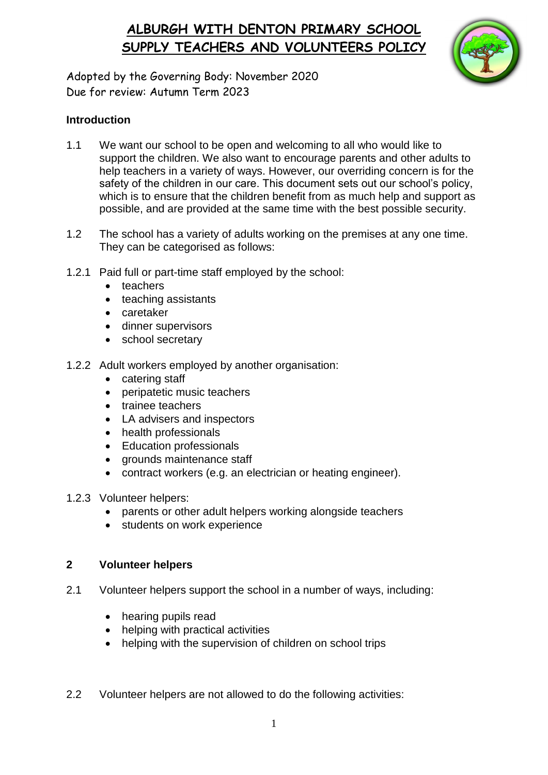## **ALBURGH WITH DENTON PRIMARY SCHOOL SUPPLY TEACHERS AND VOLUNTEERS POLICY**



Adopted by the Governing Body: November 2020 Due for review: Autumn Term 2023

#### **Introduction**

- 1.1 We want our school to be open and welcoming to all who would like to support the children. We also want to encourage parents and other adults to help teachers in a variety of ways. However, our overriding concern is for the safety of the children in our care. This document sets out our school's policy, which is to ensure that the children benefit from as much help and support as possible, and are provided at the same time with the best possible security.
- 1.2 The school has a variety of adults working on the premises at any one time. They can be categorised as follows:
- 1.2.1 Paid full or part-time staff employed by the school:
	- teachers
	- teaching assistants
	- caretaker
	- dinner supervisors
	- school secretary
- 1.2.2 Adult workers employed by another organisation:
	- catering staff
	- peripatetic music teachers
	- trainee teachers
	- LA advisers and inspectors
	- health professionals
	- Education professionals
	- arounds maintenance staff
	- contract workers (e.g. an electrician or heating engineer).
- 1.2.3 Volunteer helpers:
	- parents or other adult helpers working alongside teachers
	- students on work experience

#### **2 Volunteer helpers**

- 2.1 Volunteer helpers support the school in a number of ways, including:
	- hearing pupils read
	- helping with practical activities
	- helping with the supervision of children on school trips
- 2.2 Volunteer helpers are not allowed to do the following activities: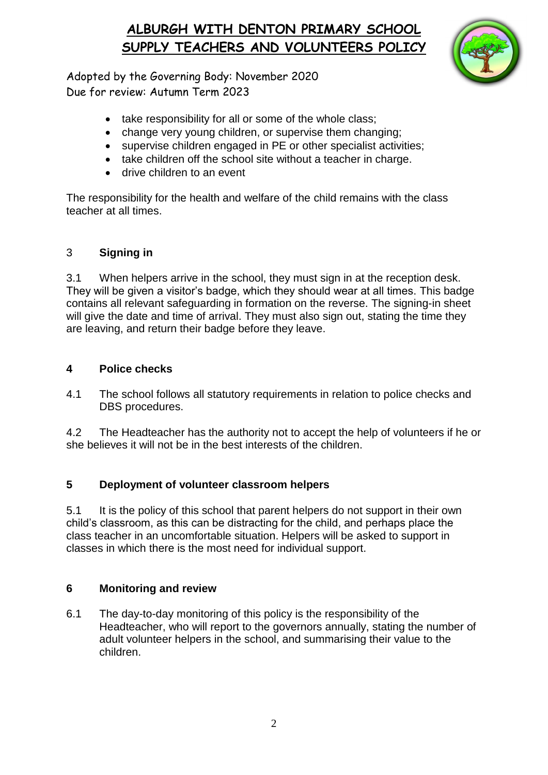# **ALBURGH WITH DENTON PRIMARY SCHOOL SUPPLY TEACHERS AND VOLUNTEERS POLICY**



Adopted by the Governing Body: November 2020 Due for review: Autumn Term 2023

- take responsibility for all or some of the whole class;
- change very young children, or supervise them changing;
- supervise children engaged in PE or other specialist activities;
- take children off the school site without a teacher in charge.
- drive children to an event

The responsibility for the health and welfare of the child remains with the class teacher at all times.

### 3 **Signing in**

3.1 When helpers arrive in the school, they must sign in at the reception desk. They will be given a visitor's badge, which they should wear at all times. This badge contains all relevant safeguarding in formation on the reverse. The signing-in sheet will give the date and time of arrival. They must also sign out, stating the time they are leaving, and return their badge before they leave.

### **4 Police checks**

4.1 The school follows all statutory requirements in relation to police checks and DBS procedures.

4.2 The Headteacher has the authority not to accept the help of volunteers if he or she believes it will not be in the best interests of the children.

### **5 Deployment of volunteer classroom helpers**

5.1 It is the policy of this school that parent helpers do not support in their own child's classroom, as this can be distracting for the child, and perhaps place the class teacher in an uncomfortable situation. Helpers will be asked to support in classes in which there is the most need for individual support.

### **6 Monitoring and review**

6.1 The day-to-day monitoring of this policy is the responsibility of the Headteacher, who will report to the governors annually, stating the number of adult volunteer helpers in the school, and summarising their value to the children.